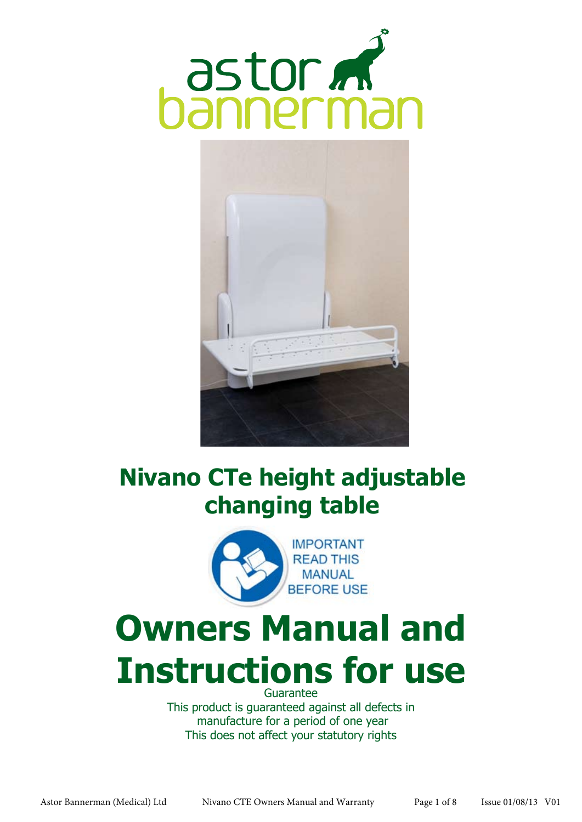



## **Nivano CTe height adjustable changing table**



# **Owners Manual and Instructions for use**

Guarantee This product is guaranteed against all defects in manufacture for a period of one year This does not affect your statutory rights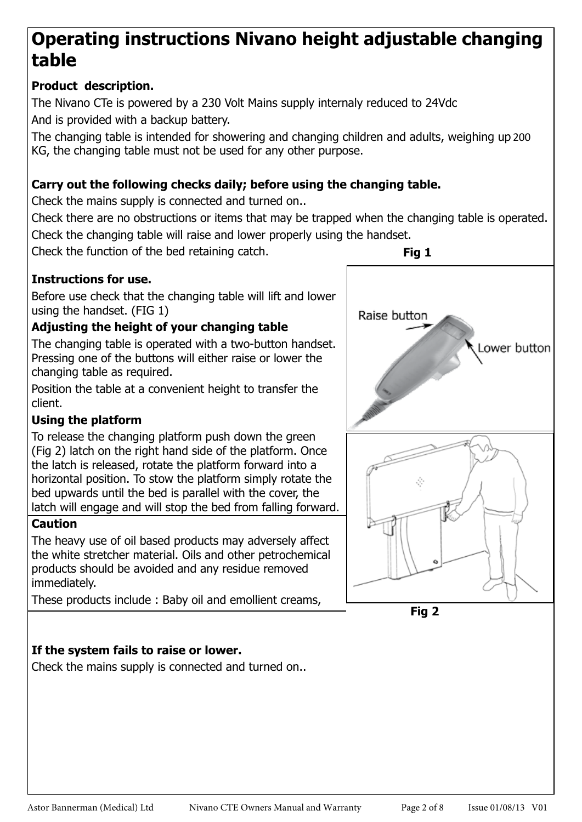### **Operating instructions Nivano height adjustable changing table**

#### **Product description.**

The Nivano CTe is powered by a 230 Volt Mains supply internaly reduced to 24Vdc And is provided with a backup battery.

The changing table is intended for showering and changing children and adults, weighing up 200 KG, the changing table must not be used for any other purpose.

#### **Carry out the following checks daily; before using the changing table.**

Check the mains supply is connected and turned on..

Check there are no obstructions or items that may be trapped when the changing table is operated. Check the changing table will raise and lower properly using the handset.

Check the function of the bed retaining catch.

#### **Instructions for use.**

Before use check that the changing table will lift and lower using the handset. (FIG 1)

#### **Adjusting the height of your changing table**

The changing table is operated with a two-button handset. Pressing one of the buttons will either raise or lower the changing table as required.

Position the table at a convenient height to transfer the client.

#### **Using the platform**

To release the changing platform push down the green (Fig 2) latch on the right hand side of the platform. Once the latch is released, rotate the platform forward into a horizontal position. To stow the platform simply rotate the bed upwards until the bed is parallel with the cover, the latch will engage and will stop the bed from falling forward.

#### **Caution**

The heavy use of oil based products may adversely affect the white stretcher material. Oils and other petrochemical products should be avoided and any residue removed immediately.

These products include : Baby oil and emollient creams,

#### **If the system fails to raise or lower.**

Check the mains supply is connected and turned on..



**Fig 2**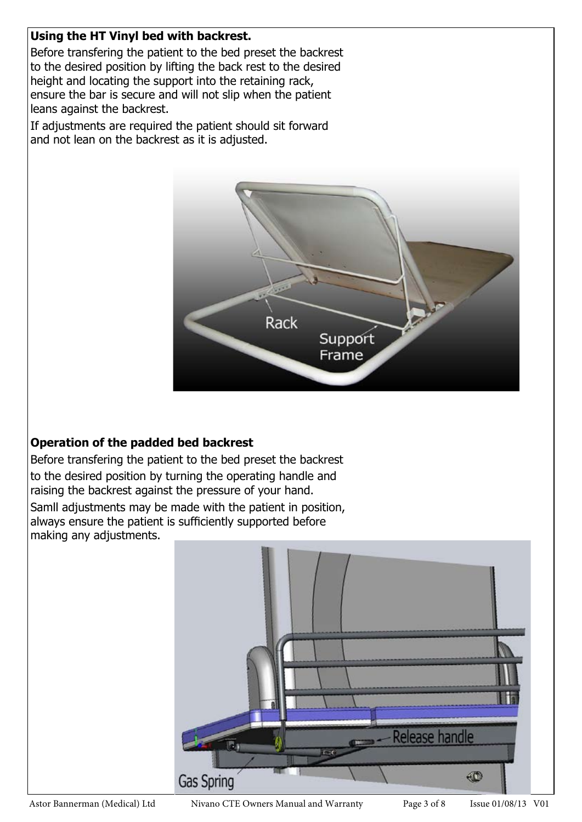#### **Using the HT Vinyl bed with backrest.**

Before transfering the patient to the bed preset the backrest to the desired position by lifting the back rest to the desired height and locating the support into the retaining rack, ensure the bar is secure and will not slip when the patient leans against the backrest.

If adjustments are required the patient should sit forward and not lean on the backrest as it is adjusted.



#### **Operation of the padded bed backrest**

Before transfering the patient to the bed preset the backrest to the desired position by turning the operating handle and raising the backrest against the pressure of your hand. Samll adjustments may be made with the patient in position, always ensure the patient is sufficiently supported before

making any adjustments.

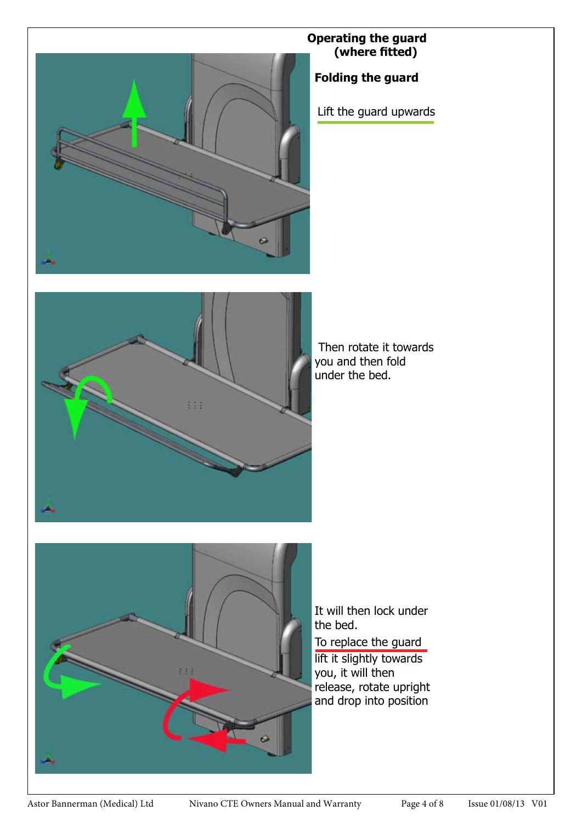

#### **Operating the guard (where fitted)**

**Folding the guard** 

Lift the guard upwards



 Then rotate it towards you and then fold under the bed.



It will then lock under the bed.

To replace the guard

lift it slightly towards you, it will then release, rotate upright and drop into position